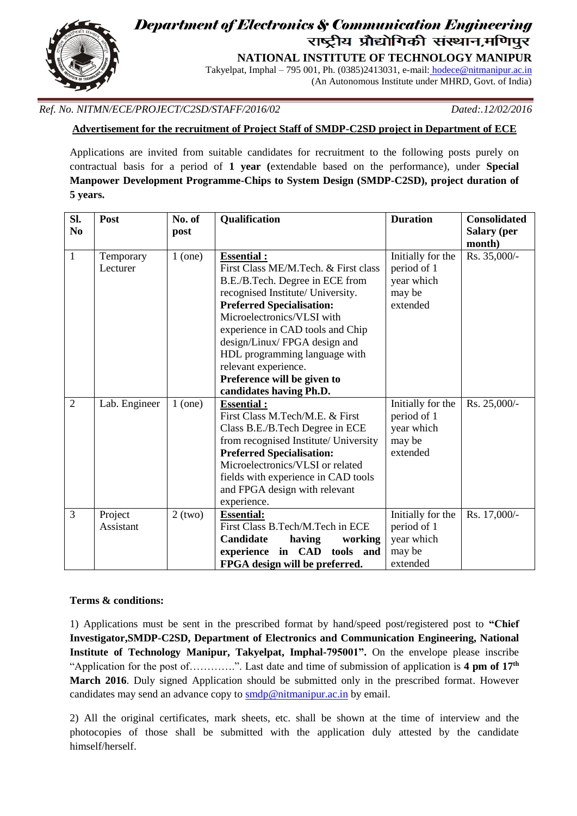

# *Department of Electronics & Communication Engineering* j.

**NATIONAL INSTITUTE OF TECHNOLOGY MANIPUR**

Takyelpat, Imphal – 795 001, Ph. (0385)2413031, e-mail: [hodece@nitmanipur.ac.in](mailto:%20hodece@nitmanipur.ac.in) (An Autonomous Institute under MHRD, Govt. of India)

*Ref. No. NITMN/ECE/PROJECT/C2SD/STAFF/2016/02 Dated:.12/02/2016*

**Advertisement for the recruitment of Project Staff of SMDP-C2SD project in Department of ECE**

Applications are invited from suitable candidates for recruitment to the following posts purely on contractual basis for a period of **1 year (**extendable based on the performance), under **Special Manpower Development Programme-Chips to System Design (SMDP-C2SD), project duration of 5 years.**

| SI.<br>N <sub>0</sub> | Post                  | No. of<br>post | Qualification                                                                                                                                                                                                                                                                                                                                                                              | <b>Duration</b>                                                      | <b>Consolidated</b><br><b>Salary</b> (per |
|-----------------------|-----------------------|----------------|--------------------------------------------------------------------------------------------------------------------------------------------------------------------------------------------------------------------------------------------------------------------------------------------------------------------------------------------------------------------------------------------|----------------------------------------------------------------------|-------------------------------------------|
|                       |                       |                |                                                                                                                                                                                                                                                                                                                                                                                            |                                                                      | month)                                    |
| $\mathbf{1}$          | Temporary<br>Lecturer | $1$ (one)      | <b>Essential:</b><br>First Class ME/M.Tech. & First class<br>B.E./B.Tech. Degree in ECE from<br>recognised Institute/ University.<br><b>Preferred Specialisation:</b><br>Microelectronics/VLSI with<br>experience in CAD tools and Chip<br>design/Linux/FPGA design and<br>HDL programming language with<br>relevant experience.<br>Preference will be given to<br>candidates having Ph.D. | Initially for the<br>period of 1<br>year which<br>may be<br>extended | Rs. 35,000/-                              |
| $\overline{2}$        | Lab. Engineer         | $1$ (one)      | <b>Essential:</b><br>First Class M.Tech/M.E. & First<br>Class B.E./B.Tech Degree in ECE<br>from recognised Institute/ University<br><b>Preferred Specialisation:</b><br>Microelectronics/VLSI or related<br>fields with experience in CAD tools<br>and FPGA design with relevant<br>experience.                                                                                            | Initially for the<br>period of 1<br>year which<br>may be<br>extended | Rs. 25,000/-                              |
| 3                     | Project<br>Assistant  | $2$ (two)      | <b>Essential:</b><br>First Class B.Tech/M.Tech in ECE<br>Candidate<br>having<br>working<br>experience in CAD tools and<br>FPGA design will be preferred.                                                                                                                                                                                                                                   | Initially for the<br>period of 1<br>year which<br>may be<br>extended | Rs. 17,000/-                              |

#### **Terms & conditions:**

1) Applications must be sent in the prescribed format by hand/speed post/registered post to **"Chief Investigator,SMDP-C2SD, Department of Electronics and Communication Engineering, National Institute of Technology Manipur, Takyelpat, Imphal-795001".** On the envelope please inscribe "Application for the post of............". Last date and time of submission of application is 4 pm of 17<sup>th</sup> **March 2016**. Duly signed Application should be submitted only in the prescribed format. However candidates may send an advance copy to [smdp@](mailto:smdpnitmanipur@gmail.com)nitmanipur.ac.in by email.

2) All the original certificates, mark sheets, etc. shall be shown at the time of interview and the photocopies of those shall be submitted with the application duly attested by the candidate himself/herself.